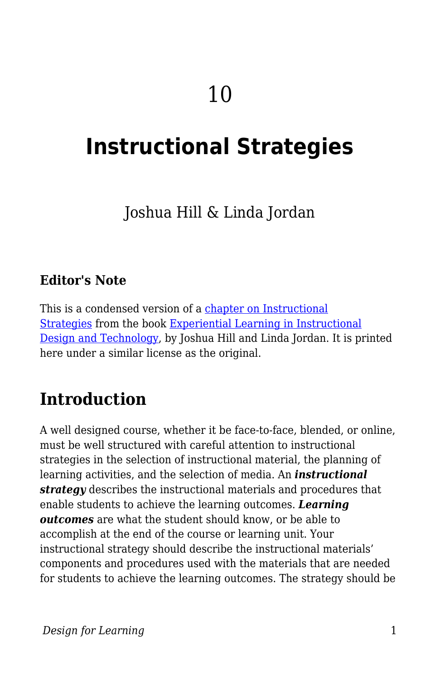# **Instructional Strategies**

### Joshua Hill & Linda Jordan

#### **Editor's Note**

This is a condensed version of a [chapter on Instructional](https://experientiallearningininstructionaldesignandtechnology.pressbooks.com/chapter/3-2-instructional-strategies/) [Strategies](https://experientiallearningininstructionaldesignandtechnology.pressbooks.com/chapter/3-2-instructional-strategies/) from the book [Experiential Learning in Instructional](https://experientiallearningininstructionaldesignandtechnology.pressbooks.com) [Design and Technology,](https://experientiallearningininstructionaldesignandtechnology.pressbooks.com) by Joshua Hill and Linda Jordan. It is printed here under a similar license as the original.

### **Introduction**

A well designed course, whether it be face-to-face, blended, or online, must be well structured with careful attention to instructional strategies in the selection of instructional material, the planning of learning activities, and the selection of media. An *instructional strategy* describes the instructional materials and procedures that enable students to achieve the learning outcomes. *Learning outcomes* are what the student should know, or be able to accomplish at the end of the course or learning unit. Your instructional strategy should describe the instructional materials' components and procedures used with the materials that are needed for students to achieve the learning outcomes. The strategy should be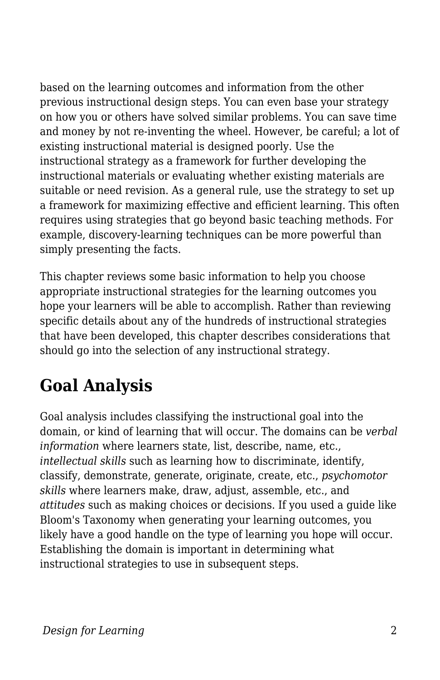based on the learning outcomes and information from the other previous instructional design steps. You can even base your strategy on how you or others have solved similar problems. You can save time and money by not re-inventing the wheel. However, be careful; a lot of existing instructional material is designed poorly. Use the instructional strategy as a framework for further developing the instructional materials or evaluating whether existing materials are suitable or need revision. As a general rule, use the strategy to set up a framework for maximizing effective and efficient learning. This often requires using strategies that go beyond basic teaching methods. For example, discovery-learning techniques can be more powerful than simply presenting the facts.

This chapter reviews some basic information to help you choose appropriate instructional strategies for the learning outcomes you hope your learners will be able to accomplish. Rather than reviewing specific details about any of the hundreds of instructional strategies that have been developed, this chapter describes considerations that should go into the selection of any instructional strategy.

# **Goal Analysis**

Goal analysis includes classifying the instructional goal into the domain, or kind of learning that will occur. The domains can be *verbal information* where learners state, list, describe, name, etc., *intellectual skills* such as learning how to discriminate, identify, classify, demonstrate, generate, originate, create, etc., *psychomotor skills* where learners make, draw, adjust, assemble, etc., and *attitudes* such as making choices or decisions. If you used a guide like Bloom's Taxonomy when generating your learning outcomes, you likely have a good handle on the type of learning you hope will occur. Establishing the domain is important in determining what instructional strategies to use in subsequent steps.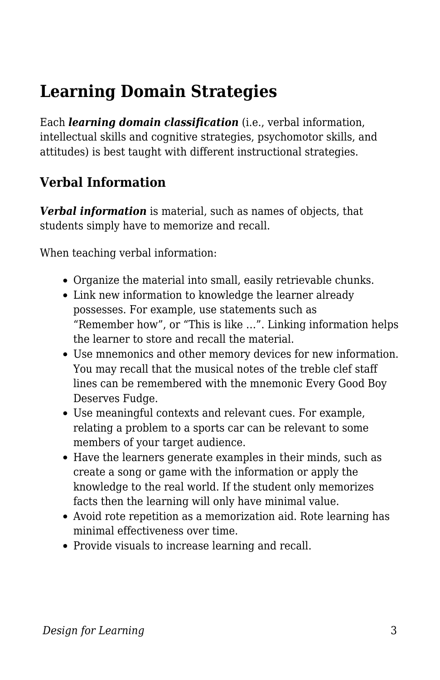# **Learning Domain Strategies**

Each *learning domain classification* (i.e., verbal information, intellectual skills and cognitive strategies, psychomotor skills, and attitudes) is best taught with different instructional strategies.

### **Verbal Information**

*Verbal information* is material, such as names of objects, that students simply have to memorize and recall.

When teaching verbal information:

- Organize the material into small, easily retrievable chunks.
- Link new information to knowledge the learner already possesses. For example, use statements such as "Remember how", or "This is like …". Linking information helps the learner to store and recall the material.
- Use mnemonics and other memory devices for new information. You may recall that the musical notes of the treble clef staff lines can be remembered with the mnemonic Every Good Boy Deserves Fudge.
- Use meaningful contexts and relevant cues. For example, relating a problem to a sports car can be relevant to some members of your target audience.
- Have the learners generate examples in their minds, such as create a song or game with the information or apply the knowledge to the real world. If the student only memorizes facts then the learning will only have minimal value.
- Avoid rote repetition as a memorization aid. Rote learning has minimal effectiveness over time.
- Provide visuals to increase learning and recall.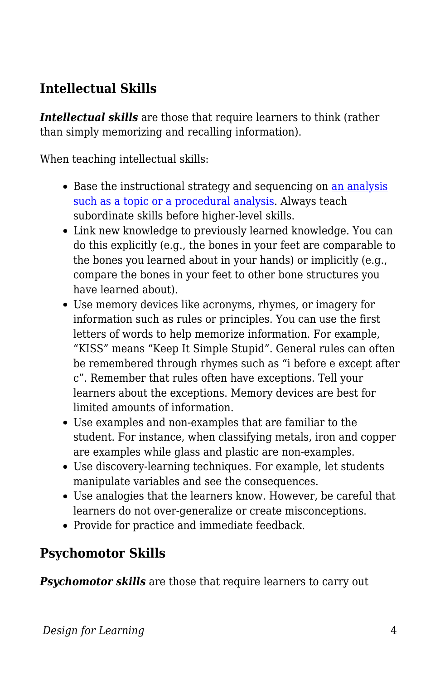### **Intellectual Skills**

*Intellectual skills* are those that require learners to think (rather than simply memorizing and recalling information).

When teaching intellectual skills:

- Base the instructional strategy and sequencing on [an analysis](https://edtechbooks.org/id/task_and_content_analysis) [such as a topic or a procedural analysis.](https://edtechbooks.org/id/task_and_content_analysis) Always teach subordinate skills before higher-level skills.
- Link new knowledge to previously learned knowledge. You can do this explicitly (e.g., the bones in your feet are comparable to the bones you learned about in your hands) or implicitly (e.g., compare the bones in your feet to other bone structures you have learned about).
- Use memory devices like acronyms, rhymes, or imagery for information such as rules or principles. You can use the first letters of words to help memorize information. For example, "KISS" means "Keep It Simple Stupid". General rules can often be remembered through rhymes such as "i before e except after c". Remember that rules often have exceptions. Tell your learners about the exceptions. Memory devices are best for limited amounts of information.
- Use examples and non-examples that are familiar to the student. For instance, when classifying metals, iron and copper are examples while glass and plastic are non-examples.
- Use discovery-learning techniques. For example, let students manipulate variables and see the consequences.
- Use analogies that the learners know. However, be careful that learners do not over-generalize or create misconceptions.
- Provide for practice and immediate feedback.

#### **Psychomotor Skills**

**Psychomotor skills** are those that require learners to carry out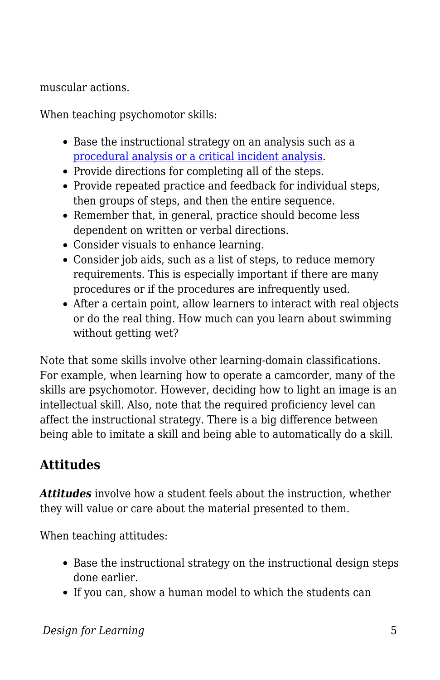muscular actions.

When teaching psychomotor skills:

- Base the instructional strategy on an analysis such as a [procedural analysis or a critical incident analysis](https://edtechbooks.org/id/task_and_content_analysis).
- Provide directions for completing all of the steps.
- Provide repeated practice and feedback for individual steps, then groups of steps, and then the entire sequence.
- Remember that, in general, practice should become less dependent on written or verbal directions.
- Consider visuals to enhance learning.
- Consider job aids, such as a list of steps, to reduce memory requirements. This is especially important if there are many procedures or if the procedures are infrequently used.
- After a certain point, allow learners to interact with real objects or do the real thing. How much can you learn about swimming without getting wet?

Note that some skills involve other learning-domain classifications. For example, when learning how to operate a camcorder, many of the skills are psychomotor. However, deciding how to light an image is an intellectual skill. Also, note that the required proficiency level can affect the instructional strategy. There is a big difference between being able to imitate a skill and being able to automatically do a skill.

### **Attitudes**

*Attitudes* involve how a student feels about the instruction, whether they will value or care about the material presented to them.

When teaching attitudes:

- Base the instructional strategy on the instructional design steps done earlier.
- If you can, show a human model to which the students can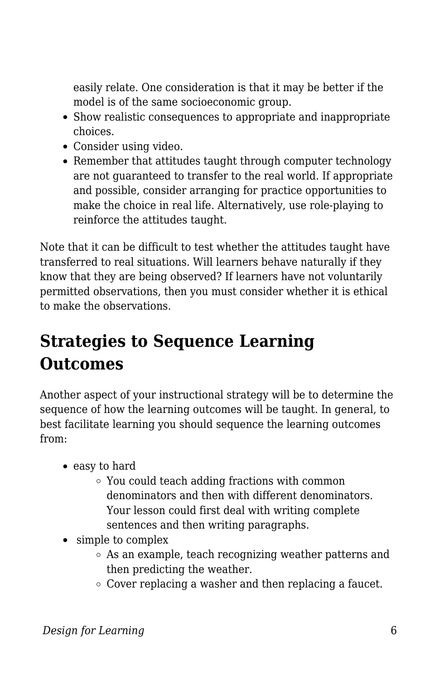easily relate. One consideration is that it may be better if the model is of the same socioeconomic group.

- Show realistic consequences to appropriate and inappropriate choices.
- Consider using video.
- Remember that attitudes taught through computer technology are not guaranteed to transfer to the real world. If appropriate and possible, consider arranging for practice opportunities to make the choice in real life. Alternatively, use role-playing to reinforce the attitudes taught.

Note that it can be difficult to test whether the attitudes taught have transferred to real situations. Will learners behave naturally if they know that they are being observed? If learners have not voluntarily permitted observations, then you must consider whether it is ethical to make the observations.

### **Strategies to Sequence Learning Outcomes**

Another aspect of your instructional strategy will be to determine the sequence of how the learning outcomes will be taught. In general, to best facilitate learning you should sequence the learning outcomes from:

- easy to hard
	- You could teach adding fractions with common denominators and then with different denominators. Your lesson could first deal with writing complete sentences and then writing paragraphs.
- simple to complex
	- As an example, teach recognizing weather patterns and then predicting the weather.
	- $\circ$  Cover replacing a washer and then replacing a faucet.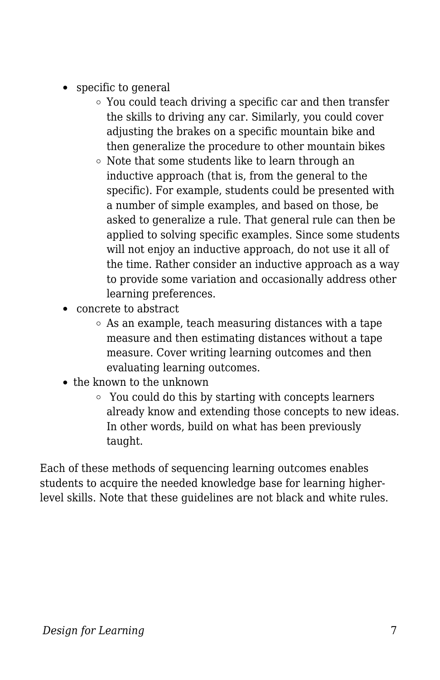- specific to general
	- You could teach driving a specific car and then transfer the skills to driving any car. Similarly, you could cover adjusting the brakes on a specific mountain bike and then generalize the procedure to other mountain bikes
	- o Note that some students like to learn through an inductive approach (that is, from the general to the specific). For example, students could be presented with a number of simple examples, and based on those, be asked to generalize a rule. That general rule can then be applied to solving specific examples. Since some students will not enjoy an inductive approach, do not use it all of the time. Rather consider an inductive approach as a way to provide some variation and occasionally address other learning preferences.
- concrete to abstract
	- $\circ$  As an example, teach measuring distances with a tape measure and then estimating distances without a tape measure. Cover writing learning outcomes and then evaluating learning outcomes.
- the known to the unknown
	- You could do this by starting with concepts learners already know and extending those concepts to new ideas. In other words, build on what has been previously taught.

Each of these methods of sequencing learning outcomes enables students to acquire the needed knowledge base for learning higherlevel skills. Note that these guidelines are not black and white rules.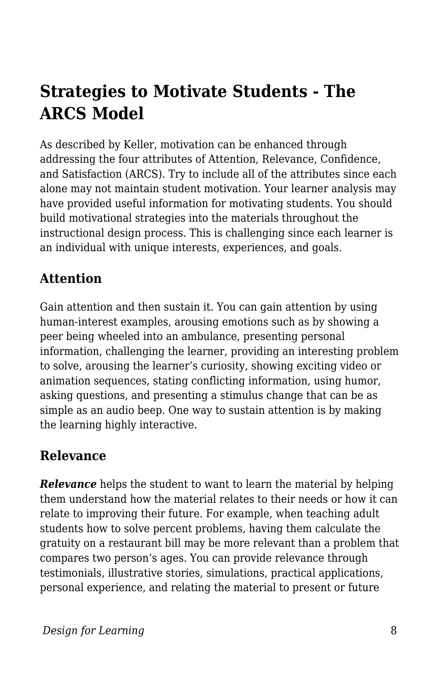# **Strategies to Motivate Students - The ARCS Model**

As described by Keller, motivation can be enhanced through addressing the four attributes of Attention, Relevance, Confidence, and Satisfaction (ARCS). Try to include all of the attributes since each alone may not maintain student motivation. Your learner analysis may have provided useful information for motivating students. You should build motivational strategies into the materials throughout the instructional design process. This is challenging since each learner is an individual with unique interests, experiences, and goals.

### **Attention**

Gain attention and then sustain it. You can gain attention by using human-interest examples, arousing emotions such as by showing a peer being wheeled into an ambulance, presenting personal information, challenging the learner, providing an interesting problem to solve, arousing the learner's curiosity, showing exciting video or animation sequences, stating conflicting information, using humor, asking questions, and presenting a stimulus change that can be as simple as an audio beep. One way to sustain attention is by making the learning highly interactive.

#### **Relevance**

**Relevance** helps the student to want to learn the material by helping them understand how the material relates to their needs or how it can relate to improving their future. For example, when teaching adult students how to solve percent problems, having them calculate the gratuity on a restaurant bill may be more relevant than a problem that compares two person's ages. You can provide relevance through testimonials, illustrative stories, simulations, practical applications, personal experience, and relating the material to present or future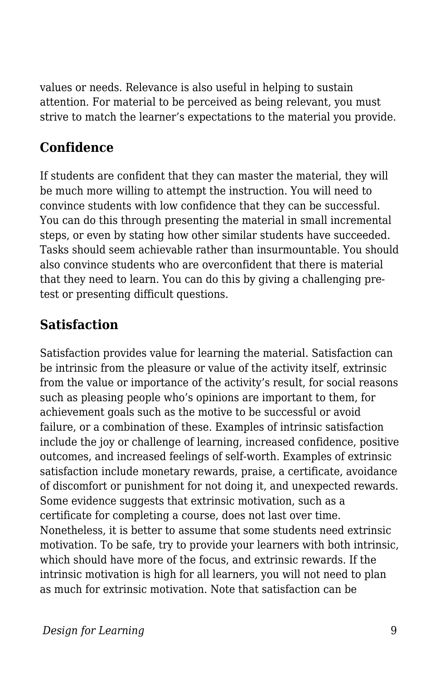values or needs. Relevance is also useful in helping to sustain attention. For material to be perceived as being relevant, you must strive to match the learner's expectations to the material you provide.

### **Confidence**

If students are confident that they can master the material, they will be much more willing to attempt the instruction. You will need to convince students with low confidence that they can be successful. You can do this through presenting the material in small incremental steps, or even by stating how other similar students have succeeded. Tasks should seem achievable rather than insurmountable. You should also convince students who are overconfident that there is material that they need to learn. You can do this by giving a challenging pretest or presenting difficult questions.

### **Satisfaction**

Satisfaction provides value for learning the material. Satisfaction can be intrinsic from the pleasure or value of the activity itself, extrinsic from the value or importance of the activity's result, for social reasons such as pleasing people who's opinions are important to them, for achievement goals such as the motive to be successful or avoid failure, or a combination of these. Examples of intrinsic satisfaction include the joy or challenge of learning, increased confidence, positive outcomes, and increased feelings of self-worth. Examples of extrinsic satisfaction include monetary rewards, praise, a certificate, avoidance of discomfort or punishment for not doing it, and unexpected rewards. Some evidence suggests that extrinsic motivation, such as a certificate for completing a course, does not last over time. Nonetheless, it is better to assume that some students need extrinsic motivation. To be safe, try to provide your learners with both intrinsic, which should have more of the focus, and extrinsic rewards. If the intrinsic motivation is high for all learners, you will not need to plan as much for extrinsic motivation. Note that satisfaction can be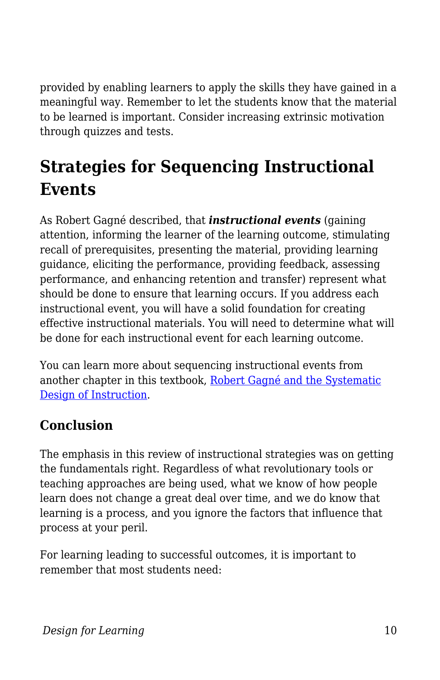provided by enabling learners to apply the skills they have gained in a meaningful way. Remember to let the students know that the material to be learned is important. Consider increasing extrinsic motivation through quizzes and tests.

# **Strategies for Sequencing Instructional Events**

As Robert Gagné described, that *instructional events* (gaining attention, informing the learner of the learning outcome, stimulating recall of prerequisites, presenting the material, providing learning guidance, eliciting the performance, providing feedback, assessing performance, and enhancing retention and transfer) represent what should be done to ensure that learning occurs. If you address each instructional event, you will have a solid foundation for creating effective instructional materials. You will need to determine what will be done for each instructional event for each learning outcome.

You can learn more about sequencing instructional events from another chapter in this textbook, [Robert Gagné and the Systematic](https://edtechbooks.org/id/robert_gagn_and_systematic_design) [Design of Instruction](https://edtechbooks.org/id/robert_gagn_and_systematic_design).

### **Conclusion**

The emphasis in this review of instructional strategies was on getting the fundamentals right. Regardless of what revolutionary tools or teaching approaches are being used, what we know of how people learn does not change a great deal over time, and we do know that learning is a process, and you ignore the factors that influence that process at your peril.

For learning leading to successful outcomes, it is important to remember that most students need: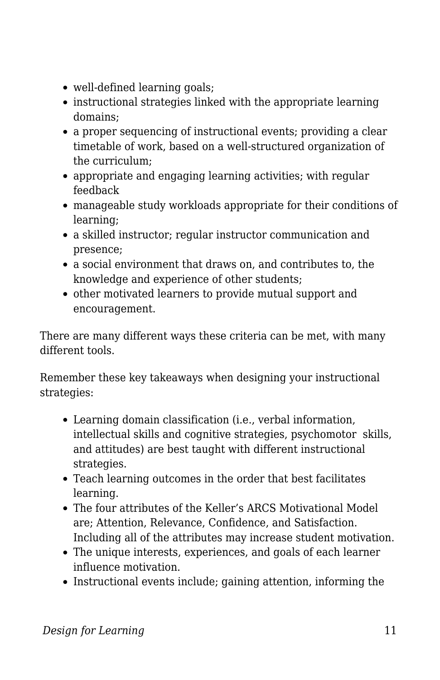- well-defined learning goals;
- instructional strategies linked with the appropriate learning domains;
- a proper sequencing of instructional events; providing a clear timetable of work, based on a well-structured organization of the curriculum;
- appropriate and engaging learning activities; with regular feedback
- manageable study workloads appropriate for their conditions of learning;
- a skilled instructor; regular instructor communication and presence;
- a social environment that draws on, and contributes to, the knowledge and experience of other students;
- other motivated learners to provide mutual support and encouragement.

There are many different ways these criteria can be met, with many different tools.

Remember these key takeaways when designing your instructional strategies:

- Learning domain classification (i.e., verbal information, intellectual skills and cognitive strategies, psychomotor skills, and attitudes) are best taught with different instructional strategies.
- Teach learning outcomes in the order that best facilitates learning.
- The four attributes of the Keller's ARCS Motivational Model are; Attention, Relevance, Confidence, and Satisfaction. Including all of the attributes may increase student motivation.
- The unique interests, experiences, and goals of each learner influence motivation.
- Instructional events include; gaining attention, informing the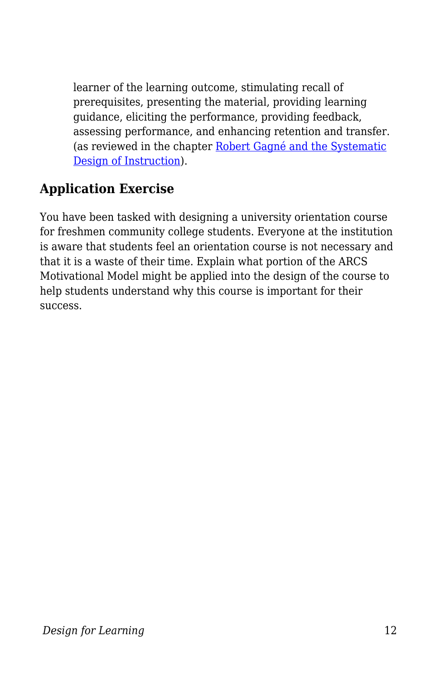learner of the learning outcome, stimulating recall of prerequisites, presenting the material, providing learning guidance, eliciting the performance, providing feedback, assessing performance, and enhancing retention and transfer. (as reviewed in the chapter [Robert Gagné and the Systematic](https://edtechbooks.org/id/robert_gagn_and_systematic_design) [Design of Instruction](https://edtechbooks.org/id/robert_gagn_and_systematic_design)).

#### **Application Exercise**

You have been tasked with designing a university orientation course for freshmen community college students. Everyone at the institution is aware that students feel an orientation course is not necessary and that it is a waste of their time. Explain what portion of the ARCS Motivational Model might be applied into the design of the course to help students understand why this course is important for their success.